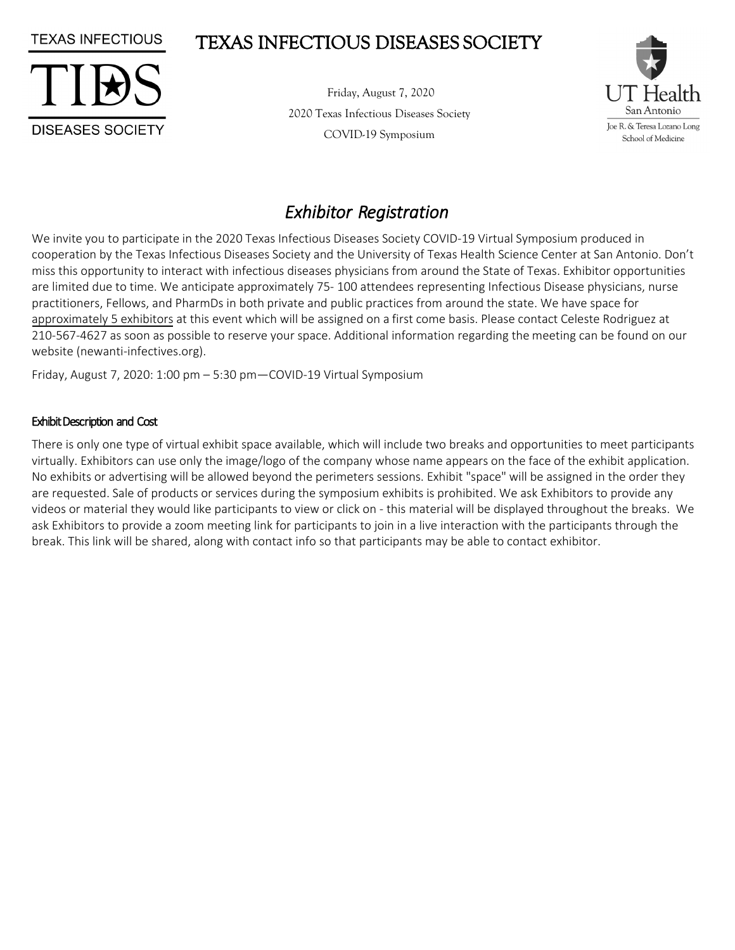# TEXAS INFECTIOUS DISEASES SOCIETY



**TEXAS INFECTIOUS** 

Friday, August 7, 2020 2020 Texas Infectious Diseases Society COVID-19 Symposium



# *Exhibitor Registration*

We invite you to participate in the 2020 Texas Infectious Diseases Society COVID-19 Virtual Symposium produced in cooperation by the Texas Infectious Diseases Society and the University of Texas Health Science Center at San Antonio. Don't miss this opportunity to interact with infectious diseases physicians from around the State of Texas. Exhibitor opportunities are limited due to time. We anticipate approximately 75- 100 attendees representing Infectious Disease physicians, nurse practitioners, Fellows, and PharmDs in both private and public practices from around the state. We have space for approximately 5 exhibitors at this event which will be assigned on a first come basis. Please contact Celeste Rodriguez at 210-567-4627 as soon as possible to reserve your space. Additional information regarding the meeting can be found on our website (newanti-infectives.org).

Friday, August 7, 2020: 1:00 pm – 5:30 pm—COVID-19 Virtual Symposium

### Exhibit Description and Cost

There is only one type of virtual exhibit space available, which will include two breaks and opportunities to meet participants virtually. Exhibitors can use only the image/logo of the company whose name appears on the face of the exhibit application. No exhibits or advertising will be allowed beyond the perimeters sessions. Exhibit "space" will be assigned in the order they are requested. Sale of products or services during the symposium exhibits is prohibited. We ask Exhibitors to provide any videos or material they would like participants to view or click on - this material will be displayed throughout the breaks. We ask Exhibitors to provide a zoom meeting link for participants to join in a live interaction with the participants through the break. This link will be shared, along with contact info so that participants may be able to contact exhibitor.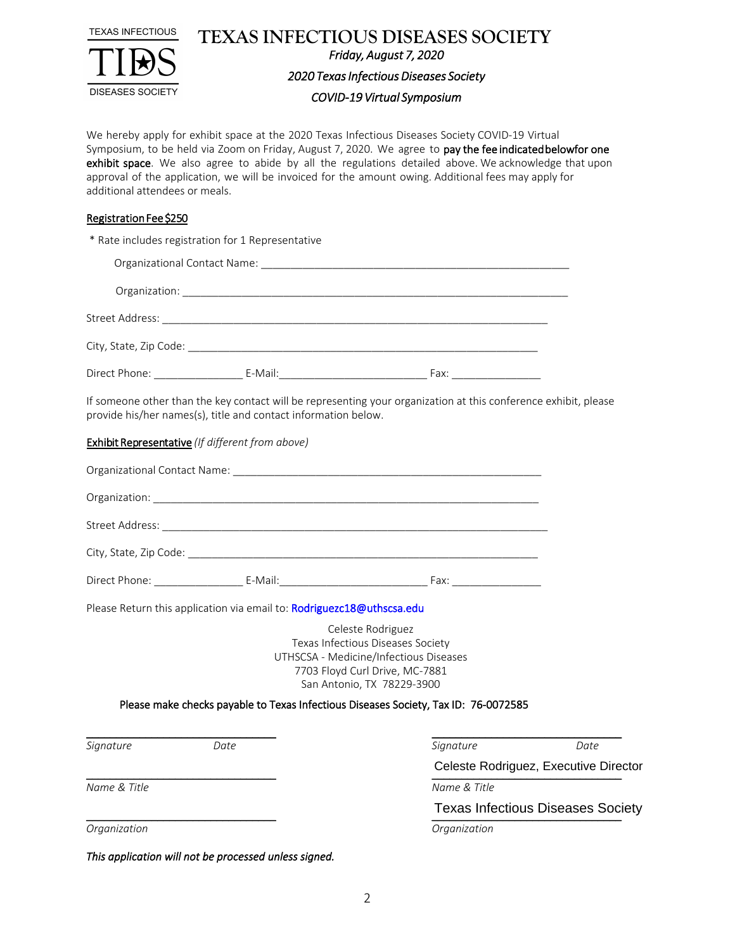

**TEXAS INFECTIOUS DISEASES SOCIETY**  *Friday, August 7, 2020* 

*2020 Texas Infectious Diseases Society* 

#### *COVID-19 Virtual Symposium*

We hereby apply for exhibit space at the 2020 Texas Infectious Diseases Society COVID-19 Virtual Symposium, to be held via Zoom on Friday, August 7, 2020. We agree to pay the fee indicated belowfor one exhibit space. We also agree to abide by all the regulations detailed above. We acknowledge that upon approval of the application, we will be invoiced for the amount owing. Additional fees may apply for additional attendees or meals.

### Registration Fee \$250

\* Rate includes registration for 1 Representative

| If someone other than the key contact will be representing your organization at this conference exhibit, please<br>provide his/her names(s), title and contact information below. |                                                                       |                                                                                                                                                                  |      |  |  |  |  |  |
|-----------------------------------------------------------------------------------------------------------------------------------------------------------------------------------|-----------------------------------------------------------------------|------------------------------------------------------------------------------------------------------------------------------------------------------------------|------|--|--|--|--|--|
|                                                                                                                                                                                   | <b>Exhibit Representative</b> (If different from above)               |                                                                                                                                                                  |      |  |  |  |  |  |
|                                                                                                                                                                                   |                                                                       |                                                                                                                                                                  |      |  |  |  |  |  |
|                                                                                                                                                                                   |                                                                       |                                                                                                                                                                  |      |  |  |  |  |  |
|                                                                                                                                                                                   |                                                                       |                                                                                                                                                                  |      |  |  |  |  |  |
|                                                                                                                                                                                   |                                                                       |                                                                                                                                                                  |      |  |  |  |  |  |
|                                                                                                                                                                                   |                                                                       |                                                                                                                                                                  |      |  |  |  |  |  |
|                                                                                                                                                                                   | Please Return this application via email to: Rodriguezc18@uthscsa.edu |                                                                                                                                                                  |      |  |  |  |  |  |
|                                                                                                                                                                                   |                                                                       | Celeste Rodriguez<br>Texas Infectious Diseases Society<br>UTHSCSA - Medicine/Infectious Diseases<br>7703 Floyd Curl Drive, MC-7881<br>San Antonio, TX 78229-3900 |      |  |  |  |  |  |
|                                                                                                                                                                                   |                                                                       | Please make checks payable to Texas Infectious Diseases Society, Tax ID: 76-0072585                                                                              |      |  |  |  |  |  |
|                                                                                                                                                                                   |                                                                       |                                                                                                                                                                  |      |  |  |  |  |  |
| Signature                                                                                                                                                                         | Date                                                                  | Signature<br>Celeste Rodriguez, Executive Director                                                                                                               | Date |  |  |  |  |  |
| Name & Title                                                                                                                                                                      |                                                                       | Name & Title                                                                                                                                                     |      |  |  |  |  |  |
|                                                                                                                                                                                   |                                                                       | <b>Texas Infectious Diseases Society</b>                                                                                                                         |      |  |  |  |  |  |
| Organization                                                                                                                                                                      |                                                                       | Organization                                                                                                                                                     |      |  |  |  |  |  |

*This application will not be processed unless signed.*